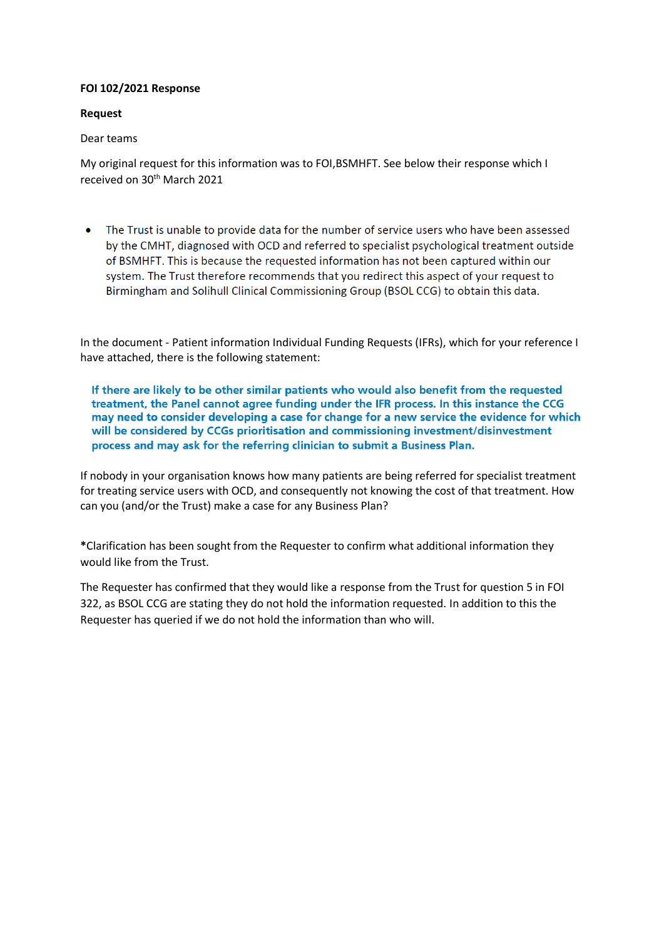## **FOI 102/2021 Response**

## **Request**

## Dear teams

My original request for this information was to FOI,BSMHFT. See below their response which I received on 30<sup>th</sup> March 2021

The Trust is unable to provide data for the number of service users who have been assessed  $\bullet$ by the CMHT, diagnosed with OCD and referred to specialist psychological treatment outside of BSMHFT. This is because the requested information has not been captured within our system. The Trust therefore recommends that you redirect this aspect of your request to Birmingham and Solihull Clinical Commissioning Group (BSOL CCG) to obtain this data.

In the document - Patient information Individual Funding Requests (IFRs), which for your reference I have attached, there is the following statement:

If there are likely to be other similar patients who would also benefit from the requested treatment, the Panel cannot agree funding under the IFR process. In this instance the CCG may need to consider developing a case for change for a new service the evidence for which will be considered by CCGs prioritisation and commissioning investment/disinvestment process and may ask for the referring clinician to submit a Business Plan.

If nobody in your organisation knows how many patients are being referred for specialist treatment for treating service users with OCD, and consequently not knowing the cost of that treatment. How can you (and/or the Trust) make a case for any Business Plan?

**\***Clarification has been sought from the Requester to confirm what additional information they would like from the Trust.

The Requester has confirmed that they would like a response from the Trust for question 5 in FOI 322, as BSOL CCG are stating they do not hold the information requested. In addition to this the Requester has queried if we do not hold the information than who will.